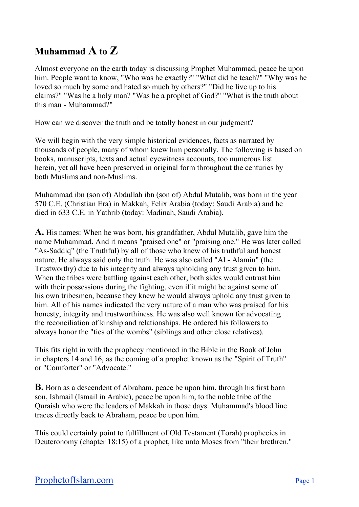## **Muhammad A to Z**

Almost everyone on the earth today is discussing Prophet Muhammad, peace be upon him. People want to know, "Who was he exactly?" "What did he teach?" "Why was he loved so much by some and hated so much by others?" "Did he live up to his claims?" "Was he a holy man? "Was he a prophet of God?" "What is the truth about this man - Muhammad?"

How can we discover the truth and be totally honest in our judgment?

We will begin with the very simple historical evidences, facts as narrated by thousands of people, many of whom knew him personally. The following is based on books, manuscripts, texts and actual eyewitness accounts, too numerous list herein, yet all have been preserved in original form throughout the centuries by both Muslims and non-Muslims.

Muhammad ibn (son of) Abdullah ibn (son of) Abdul Mutalib, was born in the year 570 C.E. (Christian Era) in Makkah, Felix Arabia (today: Saudi Arabia) and he died in 633 C.E. in Yathrib (today: Madinah, Saudi Arabia).

**A.** His names: When he was born, his grandfather, Abdul Mutalib, gave him the name Muhammad. And it means "praised one" or "praising one." He was later called "As-Saddiq" (the Truthful) by all of those who knew of his truthful and honest nature. He always said only the truth. He was also called "Al - Alamin" (the Trustworthy) due to his integrity and always upholding any trust given to him. When the tribes were battling against each other, both sides would entrust him with their possessions during the fighting, even if it might be against some of his own tribesmen, because they knew he would always uphold any trust given to him. All of his names indicated the very nature of a man who was praised for his honesty, integrity and trustworthiness. He was also well known for advocating the reconciliation of kinship and relationships. He ordered his followers to always honor the "ties of the wombs" (siblings and other close relatives).

This fits right in with the prophecy mentioned in the Bible in the Book of John in chapters 14 and 16, as the coming of a prophet known as the "Spirit of Truth" or "Comforter" or "Advocate."

**B.** Born as a descendent of Abraham, peace be upon him, through his first born son, Ishmail (Ismail in Arabic), peace be upon him, to the noble tribe of the Quraish who were the leaders of Makkah in those days. Muhammad's blood line traces directly back to Abraham, peace be upon him.

This could certainly point to fulfillment of Old Testament (Torah) prophecies in Deuteronomy (chapter 18:15) of a prophet, like unto Moses from "their brethren."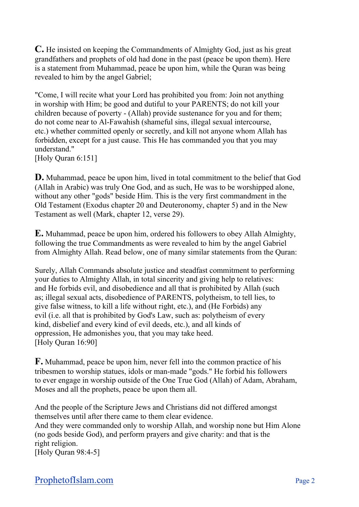**C.** He insisted on keeping the Commandments of Almighty God, just as his great grandfathers and prophets of old had done in the past (peace be upon them). Here is a statement from Muhammad, peace be upon him, while the Quran was being revealed to him by the angel Gabriel;

"Come, I will recite what your Lord has prohibited you from: Join not anything in worship with Him; be good and dutiful to your PARENTS; do not kill your children because of poverty - (Allah) provide sustenance for you and for them; do not come near to Al-Fawahish (shameful sins, illegal sexual intercourse, etc.) whether committed openly or secretly, and kill not anyone whom Allah has forbidden, except for a just cause. This He has commanded you that you may understand."

[Holy Quran 6:151]

**D.** Muhammad, peace be upon him, lived in total commitment to the belief that God (Allah in Arabic) was truly One God, and as such, He was to be worshipped alone, without any other "gods" beside Him. This is the very first commandment in the Old Testament (Exodus chapter 20 and Deuteronomy, chapter 5) and in the New Testament as well (Mark, chapter 12, verse 29).

**E.** Muhammad, peace be upon him, ordered his followers to obey Allah Almighty, following the true Commandments as were revealed to him by the angel Gabriel from Almighty Allah. Read below, one of many similar statements from the Quran:

Surely, Allah Commands absolute justice and steadfast commitment to performing your duties to Almighty Allah, in total sincerity and giving help to relatives: and He forbids evil, and disobedience and all that is prohibited by Allah (such as; illegal sexual acts, disobedience of PARENTS, polytheism, to tell lies, to give false witness, to kill a life without right, etc.), and (He Forbids) any evil (i.e. all that is prohibited by God's Law, such as: polytheism of every kind, disbelief and every kind of evil deeds, etc.), and all kinds of oppression, He admonishes you, that you may take heed. [Holy Ouran 16:90]

**F.** Muhammad, peace be upon him, never fell into the common practice of his tribesmen to worship statues, idols or man-made "gods." He forbid his followers to ever engage in worship outside of the One True God (Allah) of Adam, Abraham, Moses and all the prophets, peace be upon them all.

And the people of the Scripture Jews and Christians did not differed amongst themselves until after there came to them clear evidence.

And they were commanded only to worship Allah, and worship none but Him Alone (no gods beside God), and perform prayers and give charity: and that is the right religion.

[Holy Quran 98:4-5]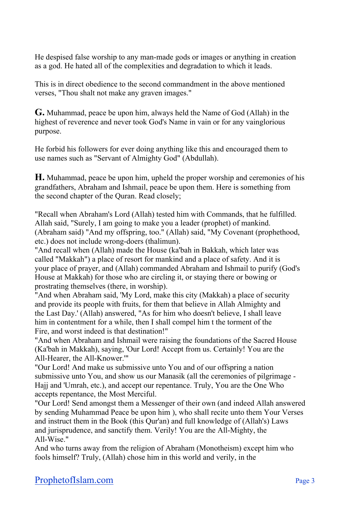He despised false worship to any man-made gods or images or anything in creation as a god. He hated all of the complexities and degradation to which it leads.

This is in direct obedience to the second commandment in the above mentioned verses, "Thou shalt not make any graven images."

**G.** Muhammad, peace be upon him, always held the Name of God (Allah) in the highest of reverence and never took God's Name in vain or for any vainglorious purpose.

He forbid his followers for ever doing anything like this and encouraged them to use names such as "Servant of Almighty God" (Abdullah).

**H.** Muhammad, peace be upon him, upheld the proper worship and ceremonies of his grandfathers, Abraham and Ishmail, peace be upon them. Here is something from the second chapter of the Quran. Read closely;

"Recall when Abraham's Lord (Allah) tested him with Commands, that he fulfilled. Allah said, "Surely, I am going to make you a leader (prophet) of mankind. (Abraham said) "And my offspring, too." (Allah) said, "My Covenant (prophethood, etc.) does not include wrong-doers (thalimun).

"And recall when (Allah) made the House (ka'bah in Bakkah, which later was called "Makkah") a place of resort for mankind and a place of safety. And it is your place of prayer, and (Allah) commanded Abraham and Ishmail to purify (God's House at Makkah) for those who are circling it, or staying there or bowing or prostrating themselves (there, in worship).

"And when Abraham said, 'My Lord, make this city (Makkah) a place of security and provide its people with fruits, for them that believe in Allah Almighty and the Last Day.' (Allah) answered, "As for him who doesn't believe, I shall leave him in contentment for a while, then I shall compel him t the torment of the Fire, and worst indeed is that destination!"

"And when Abraham and Ishmail were raising the foundations of the Sacred House (Ka'bah in Makkah), saying, 'Our Lord! Accept from us. Certainly! You are the All-Hearer, the All-Knower.'"

"Our Lord! And make us submissive unto You and of our offspring a nation submissive unto You, and show us our Manasik (all the ceremonies of pilgrimage - Hajj and 'Umrah, etc.), and accept our repentance. Truly, You are the One Who accepts repentance, the Most Merciful.

"Our Lord! Send amongst them a Messenger of their own (and indeed Allah answered by sending Muhammad Peace be upon him ), who shall recite unto them Your Verses and instruct them in the Book (this Qur'an) and full knowledge of (Allah's) Laws and jurisprudence, and sanctify them. Verily! You are the All-Mighty, the All-Wise."

And who turns away from the religion of Abraham (Monotheism) except him who fools himself? Truly, (Allah) chose him in this world and verily, in the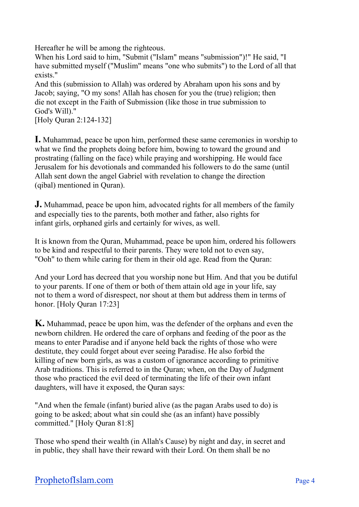Hereafter he will be among the righteous.

When his Lord said to him, "Submit ("Islam" means "submission")!" He said, "I have submitted myself ("Muslim" means "one who submits") to the Lord of all that exists."

And this (submission to Allah) was ordered by Abraham upon his sons and by Jacob; saying, "O my sons! Allah has chosen for you the (true) religion; then die not except in the Faith of Submission (like those in true submission to God's Will)."

[Holy Quran 2:124-132]

**I.** Muhammad, peace be upon him, performed these same ceremonies in worship to what we find the prophets doing before him, bowing to toward the ground and prostrating (falling on the face) while praying and worshipping. He would face Jerusalem for his devotionals and commanded his followers to do the same (until Allah sent down the angel Gabriel with revelation to change the direction (qibal) mentioned in Quran).

**J.** Muhammad, peace be upon him, advocated rights for all members of the family and especially ties to the parents, both mother and father, also rights for infant girls, orphaned girls and certainly for wives, as well.

It is known from the Quran, Muhammad, peace be upon him, ordered his followers to be kind and respectful to their parents. They were told not to even say, "Ooh" to them while caring for them in their old age. Read from the Quran:

And your Lord has decreed that you worship none but Him. And that you be dutiful to your parents. If one of them or both of them attain old age in your life, say not to them a word of disrespect, nor shout at them but address them in terms of honor. [Holy Quran 17:23]

**K.** Muhammad, peace be upon him, was the defender of the orphans and even the newborn children. He ordered the care of orphans and feeding of the poor as the means to enter Paradise and if anyone held back the rights of those who were destitute, they could forget about ever seeing Paradise. He also forbid the killing of new born girls, as was a custom of ignorance according to primitive Arab traditions. This is referred to in the Quran; when, on the Day of Judgment those who practiced the evil deed of terminating the life of their own infant daughters, will have it exposed, the Quran says:

"And when the female (infant) buried alive (as the pagan Arabs used to do) is going to be asked; about what sin could she (as an infant) have possibly committed." [Holy Quran 81:8]

Those who spend their wealth (in Allah's Cause) by night and day, in secret and in public, they shall have their reward with their Lord. On them shall be no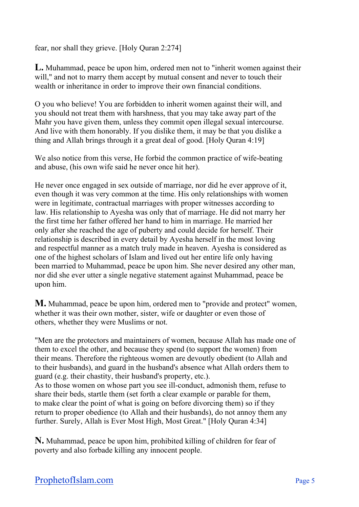fear, nor shall they grieve. [Holy Quran 2:274]

**L.** Muhammad, peace be upon him, ordered men not to "inherit women against their will," and not to marry them accept by mutual consent and never to touch their wealth or inheritance in order to improve their own financial conditions.

O you who believe! You are forbidden to inherit women against their will, and you should not treat them with harshness, that you may take away part of the Mahr you have given them, unless they commit open illegal sexual intercourse. And live with them honorably. If you dislike them, it may be that you dislike a thing and Allah brings through it a great deal of good. [Holy Quran 4:19]

We also notice from this verse, He forbid the common practice of wife-beating and abuse, (his own wife said he never once hit her).

He never once engaged in sex outside of marriage, nor did he ever approve of it, even though it was very common at the time. His only relationships with women were in legitimate, contractual marriages with proper witnesses according to law. His relationship to Ayesha was only that of marriage. He did not marry her the first time her father offered her hand to him in marriage. He married her only after she reached the age of puberty and could decide for herself. Their relationship is described in every detail by Ayesha herself in the most loving and respectful manner as a match truly made in heaven. Ayesha is considered as one of the highest scholars of Islam and lived out her entire life only having been married to Muhammad, peace be upon him. She never desired any other man, nor did she ever utter a single negative statement against Muhammad, peace be upon him.

**M.** Muhammad, peace be upon him, ordered men to "provide and protect" women, whether it was their own mother, sister, wife or daughter or even those of others, whether they were Muslims or not.

"Men are the protectors and maintainers of women, because Allah has made one of them to excel the other, and because they spend (to support the women) from their means. Therefore the righteous women are devoutly obedient (to Allah and to their husbands), and guard in the husband's absence what Allah orders them to guard (e.g. their chastity, their husband's property, etc.).

As to those women on whose part you see ill-conduct, admonish them, refuse to share their beds, startle them (set forth a clear example or parable for them, to make clear the point of what is going on before divorcing them) so if they return to proper obedience (to Allah and their husbands), do not annoy them any further. Surely, Allah is Ever Most High, Most Great." [Holy Quran 4:34]

**N.** Muhammad, peace be upon him, prohibited killing of children for fear of poverty and also forbade killing any innocent people.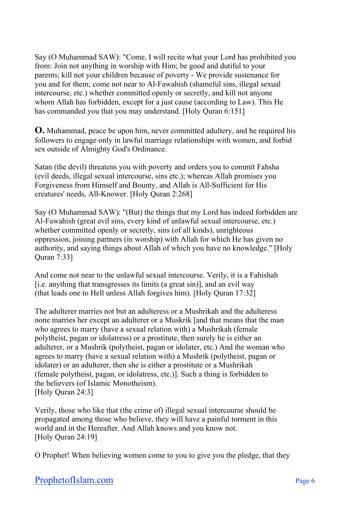Say (O Muhammad SAW): "Come, I will recite what your Lord has prohibited you from: Join not anything in worship with Him; be good and dutiful to your parents; kill not your children because of poverty - We provide sustenance for you and for them; come not near to Al-Fawahish (shameful sins, illegal sexual intercourse, etc.) whether committed openly or secretly, and kill not anyone whom Allah has forbidden, except for a just cause (according to Law). This He has commanded you that you may understand. [Holy Quran 6:151]

**O.** Muhammad, peace be upon him, never committed adultery, and he required his followers to engage only in lawful marriage relationships with women, and forbid sex outside of Almighty God's Ordinance.

Satan (the devil) threatens you with poverty and orders you to commit Fahsha (evil deeds, illegal sexual intercourse, sins etc.); whereas Allah promises you Forgiveness from Himself and Bounty, and Allah is All-Sufficient for His creatures' needs, All-Knower. [Holy Quran 2:268]

Say (O Muhammad SAW): "(But) the things that my Lord has indeed forbidden are Al-Fawahish (great evil sins, every kind of unlawful sexual intercourse, etc.) whether committed openly or secretly, sins (of all kinds), unrighteous oppression, joining partners (in worship) with Allah for which He has given no authority, and saying things about Allah of which you have no knowledge." [Holy Quran 7:33]

And come not near to the unlawful sexual intercourse. Verily, it is a Fahishah [i.e. anything that transgresses its limits (a great sin)], and an evil way (that leads one to Hell unless Allah forgives him). [Holy Quran 17:32]

The adulterer marries not but an adulteress or a Mushrikah and the adulteress none marries her except an adulterer or a Muskrik [and that means that the man who agrees to marry (have a sexual relation with) a Mushrikah (female polytheist, pagan or idolatress) or a prostitute, then surely he is either an adulterer, or a Mushrik (polytheist, pagan or idolater, etc.) And the woman who agrees to marry (have a sexual relation with) a Mushrik (polytheist, pagan or idolater) or an adulterer, then she is either a prostitute or a Mushrikah (female polytheist, pagan, or idolatress, etc.)]. Such a thing is forbidden to the believers (of Islamic Monotheism). [Holy Quran 24:3]

Verily, those who like that (the crime of) illegal sexual intercourse should be propagated among those who believe, they will have a painful torment in this world and in the Hereafter. And Allah knows and you know not. [Holy Quran 24:19]

O Prophet! When believing women come to you to give you the pledge, that they

## ProphetofIslam.com Page 6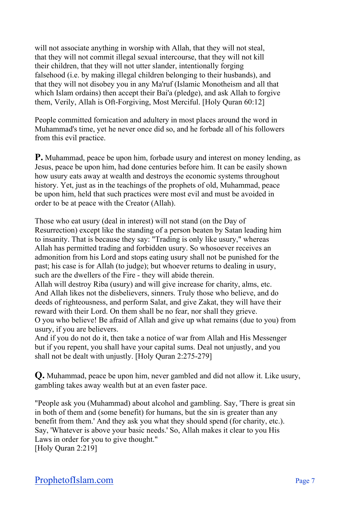will not associate anything in worship with Allah, that they will not steal, that they will not commit illegal sexual intercourse, that they will not kill their children, that they will not utter slander, intentionally forging falsehood (i.e. by making illegal children belonging to their husbands), and that they will not disobey you in any Ma'ruf (Islamic Monotheism and all that which Islam ordains) then accept their Bai'a (pledge), and ask Allah to forgive them, Verily, Allah is Oft-Forgiving, Most Merciful. [Holy Quran 60:12]

People committed fornication and adultery in most places around the word in Muhammad's time, yet he never once did so, and he forbade all of his followers from this evil practice.

**P.** Muhammad, peace be upon him, forbade usury and interest on money lending, as Jesus, peace be upon him, had done centuries before him. It can be easily shown how usury eats away at wealth and destroys the economic systems throughout history. Yet, just as in the teachings of the prophets of old, Muhammad, peace be upon him, held that such practices were most evil and must be avoided in order to be at peace with the Creator (Allah).

Those who eat usury (deal in interest) will not stand (on the Day of Resurrection) except like the standing of a person beaten by Satan leading him to insanity. That is because they say: "Trading is only like usury," whereas Allah has permitted trading and forbidden usury. So whosoever receives an admonition from his Lord and stops eating usury shall not be punished for the past; his case is for Allah (to judge); but whoever returns to dealing in usury, such are the dwellers of the Fire - they will abide therein.

Allah will destroy Riba (usury) and will give increase for charity, alms, etc. And Allah likes not the disbelievers, sinners. Truly those who believe, and do deeds of righteousness, and perform Salat, and give Zakat, they will have their reward with their Lord. On them shall be no fear, nor shall they grieve.

O you who believe! Be afraid of Allah and give up what remains (due to you) from usury, if you are believers.

And if you do not do it, then take a notice of war from Allah and His Messenger but if you repent, you shall have your capital sums. Deal not unjustly, and you shall not be dealt with unjustly. [Holy Quran 2:275-279]

**Q.** Muhammad, peace be upon him, never gambled and did not allow it. Like usury, gambling takes away wealth but at an even faster pace.

"People ask you (Muhammad) about alcohol and gambling. Say, 'There is great sin in both of them and (some benefit) for humans, but the sin is greater than any benefit from them.' And they ask you what they should spend (for charity, etc.). Say, 'Whatever is above your basic needs.' So, Allah makes it clear to you His Laws in order for you to give thought." [Holy Quran 2:219]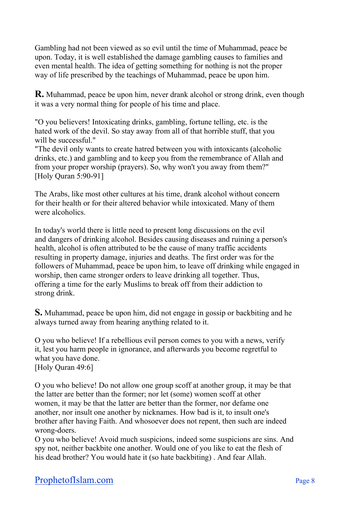Gambling had not been viewed as so evil until the time of Muhammad, peace be upon. Today, it is well established the damage gambling causes to families and even mental health. The idea of getting something for nothing is not the proper way of life prescribed by the teachings of Muhammad, peace be upon him.

**R.** Muhammad, peace be upon him, never drank alcohol or strong drink, even though it was a very normal thing for people of his time and place.

"O you believers! Intoxicating drinks, gambling, fortune telling, etc. is the hated work of the devil. So stay away from all of that horrible stuff, that you will be successful."

"The devil only wants to create hatred between you with intoxicants (alcoholic drinks, etc.) and gambling and to keep you from the remembrance of Allah and from your proper worship (prayers). So, why won't you away from them?" [Holy Quran 5:90-91]

The Arabs, like most other cultures at his time, drank alcohol without concern for their health or for their altered behavior while intoxicated. Many of them were alcoholics.

In today's world there is little need to present long discussions on the evil and dangers of drinking alcohol. Besides causing diseases and ruining a person's health, alcohol is often attributed to be the cause of many traffic accidents resulting in property damage, injuries and deaths. The first order was for the followers of Muhammad, peace be upon him, to leave off drinking while engaged in worship, then came stronger orders to leave drinking all together. Thus, offering a time for the early Muslims to break off from their addiction to strong drink.

**S.** Muhammad, peace be upon him, did not engage in gossip or backbiting and he always turned away from hearing anything related to it.

O you who believe! If a rebellious evil person comes to you with a news, verify it, lest you harm people in ignorance, and afterwards you become regretful to what you have done. [Holy Quran 49:6]

O you who believe! Do not allow one group scoff at another group, it may be that the latter are better than the former; nor let (some) women scoff at other women, it may be that the latter are better than the former, nor defame one another, nor insult one another by nicknames. How bad is it, to insult one's brother after having Faith. And whosoever does not repent, then such are indeed wrong-doers.

O you who believe! Avoid much suspicions, indeed some suspicions are sins. And spy not, neither backbite one another. Would one of you like to eat the flesh of his dead brother? You would hate it (so hate backbiting) . And fear Allah.

## ProphetofIslam.com Page 8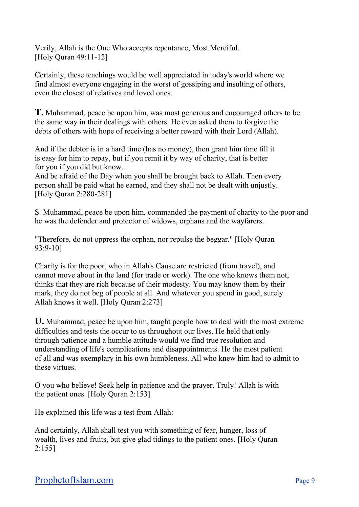Verily, Allah is the One Who accepts repentance, Most Merciful. [Holy Quran 49:11-12]

Certainly, these teachings would be well appreciated in today's world where we find almost everyone engaging in the worst of gossiping and insulting of others, even the closest of relatives and loved ones.

**T.** Muhammad, peace be upon him, was most generous and encouraged others to be the same way in their dealings with others. He even asked them to forgive the debts of others with hope of receiving a better reward with their Lord (Allah).

And if the debtor is in a hard time (has no money), then grant him time till it is easy for him to repay, but if you remit it by way of charity, that is better for you if you did but know.

And be afraid of the Day when you shall be brought back to Allah. Then every person shall be paid what he earned, and they shall not be dealt with unjustly. [Holy Quran 2:280-281]

S. Muhammad, peace be upon him, commanded the payment of charity to the poor and he was the defender and protector of widows, orphans and the wayfarers.

"Therefore, do not oppress the orphan, nor repulse the beggar." [Holy Quran 93:9-10]

Charity is for the poor, who in Allah's Cause are restricted (from travel), and cannot move about in the land (for trade or work). The one who knows them not, thinks that they are rich because of their modesty. You may know them by their mark, they do not beg of people at all. And whatever you spend in good, surely Allah knows it well. [Holy Quran 2:273]

**U.** Muhammad, peace be upon him, taught people how to deal with the most extreme difficulties and tests the occur to us throughout our lives. He held that only through patience and a humble attitude would we find true resolution and understanding of life's complications and disappointments. He the most patient of all and was exemplary in his own humbleness. All who knew him had to admit to these virtues.

O you who believe! Seek help in patience and the prayer. Truly! Allah is with the patient ones. [Holy Quran 2:153]

He explained this life was a test from Allah:

And certainly, Allah shall test you with something of fear, hunger, loss of wealth, lives and fruits, but give glad tidings to the patient ones. [Holy Quran 2:155]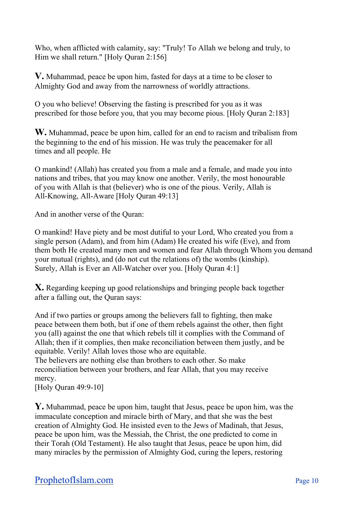Who, when afflicted with calamity, say: "Truly! To Allah we belong and truly, to Him we shall return." [Holy Quran 2:156]

**V.** Muhammad, peace be upon him, fasted for days at a time to be closer to Almighty God and away from the narrowness of worldly attractions.

O you who believe! Observing the fasting is prescribed for you as it was prescribed for those before you, that you may become pious. [Holy Quran 2:183]

**W.** Muhammad, peace be upon him, called for an end to racism and tribalism from the beginning to the end of his mission. He was truly the peacemaker for all times and all people. He

O mankind! (Allah) has created you from a male and a female, and made you into nations and tribes, that you may know one another. Verily, the most honourable of you with Allah is that (believer) who is one of the pious. Verily, Allah is All-Knowing, All-Aware [Holy Quran 49:13]

And in another verse of the Quran:

O mankind! Have piety and be most dutiful to your Lord, Who created you from a single person (Adam), and from him (Adam) He created his wife (Eve), and from them both He created many men and women and fear Allah through Whom you demand your mutual (rights), and (do not cut the relations of) the wombs (kinship). Surely, Allah is Ever an All-Watcher over you. [Holy Quran 4:1]

**X.** Regarding keeping up good relationships and bringing people back together after a falling out, the Quran says:

And if two parties or groups among the believers fall to fighting, then make peace between them both, but if one of them rebels against the other, then fight you (all) against the one that which rebels till it complies with the Command of Allah; then if it complies, then make reconciliation between them justly, and be equitable. Verily! Allah loves those who are equitable.

The believers are nothing else than brothers to each other. So make reconciliation between your brothers, and fear Allah, that you may receive mercy.

[Holy Quran 49:9-10]

**Y.** Muhammad, peace be upon him, taught that Jesus, peace be upon him, was the immaculate conception and miracle birth of Mary, and that she was the best creation of Almighty God. He insisted even to the Jews of Madinah, that Jesus, peace be upon him, was the Messiah, the Christ, the one predicted to come in their Torah (Old Testament). He also taught that Jesus, peace be upon him, did many miracles by the permission of Almighty God, curing the lepers, restoring